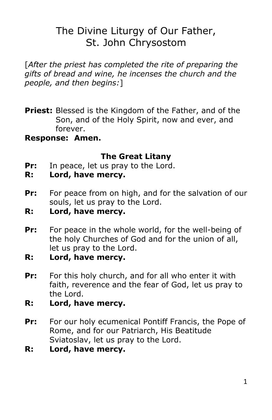# The Divine Liturgy of Our Father, St. John Chrysostom

[*After the priest has completed the rite of preparing the gifts of bread and wine, he incenses the church and the people, and then begins:*]

**Priest:** Blessed is the Kingdom of the Father, and of the Son, and of the Holy Spirit, now and ever, and forever.

#### **Response: Amen.**

### **The Great Litany**

- **Pr:** In peace, let us pray to the Lord.
- **R: Lord, have mercy.**
- **Pr:** For peace from on high, and for the salvation of our souls, let us pray to the Lord.
- **R: Lord, have mercy.**
- **Pr:** For peace in the whole world, for the well-being of the holy Churches of God and for the union of all, let us pray to the Lord.
- **R: Lord, have mercy.**
- **Pr:** For this holy church, and for all who enter it with faith, reverence and the fear of God, let us pray to the Lord.
- **R: Lord, have mercy.**
- **Pr:** For our holy ecumenical Pontiff Francis, the Pope of Rome, and for our Patriarch, His Beatitude Sviatoslav, let us pray to the Lord.
- **R: Lord, have mercy.**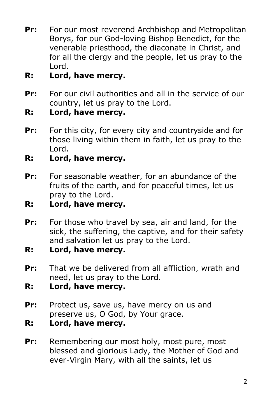- **Pr:** For our most reverend Archbishop and Metropolitan Borys, for our God-loving Bishop Benedict, for the venerable priesthood, the diaconate in Christ, and for all the clergy and the people, let us pray to the Lord.
- **R: Lord, have mercy.**
- **Pr:** For our civil authorities and all in the service of our country, let us pray to the Lord.
- **R: Lord, have mercy.**
- **Pr:** For this city, for every city and countryside and for those living within them in faith, let us pray to the Lord.
- **R: Lord, have mercy.**
- **Pr:** For seasonable weather, for an abundance of the fruits of the earth, and for peaceful times, let us pray to the Lord.
- **R: Lord, have mercy.**
- **Pr:** For those who travel by sea, air and land, for the sick, the suffering, the captive, and for their safety and salvation let us pray to the Lord.
- **R: Lord, have mercy.**
- **Pr:** That we be delivered from all affliction, wrath and need, let us pray to the Lord.
- **R: Lord, have mercy.**
- **Pr:** Protect us, save us, have mercy on us and preserve us, O God, by Your grace.
- **R: Lord, have mercy.**
- **Pr:** Remembering our most holy, most pure, most blessed and glorious Lady, the Mother of God and ever-Virgin Mary, with all the saints, let us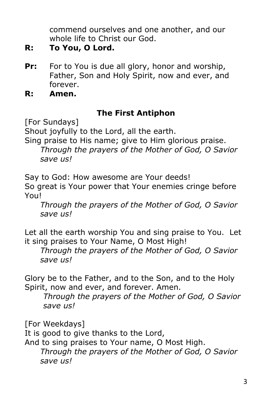commend ourselves and one another, and our whole life to Christ our God.

- **R: To You, O Lord.**
- **Pr:** For to You is due all glory, honor and worship, Father, Son and Holy Spirit, now and ever, and forever.

**R: Amen.**

### **The First Antiphon**

[For Sundays]

Shout joyfully to the Lord, all the earth.

Sing praise to His name; give to Him glorious praise.

*Through the prayers of the Mother of God, O Savior save us!*

Say to God: How awesome are Your deeds! So great is Your power that Your enemies cringe before

You!

*Through the prayers of the Mother of God, O Savior save us!*

Let all the earth worship You and sing praise to You. Let it sing praises to Your Name, O Most High!

*Through the prayers of the Mother of God, O Savior save us!*

Glory be to the Father, and to the Son, and to the Holy Spirit, now and ever, and forever. Amen.

*Through the prayers of the Mother of God, O Savior save us!*

[For Weekdays]

It is good to give thanks to the Lord,

And to sing praises to Your name, O Most High. *Through the prayers of the Mother of God, O Savior save us!*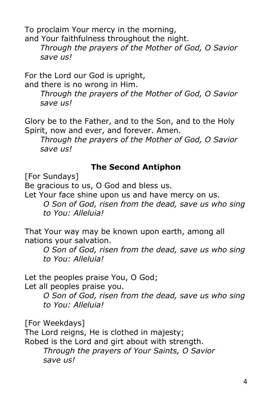To proclaim Your mercy in the morning, and Your faithfulness throughout the night.

*Through the prayers of the Mother of God, O Savior save us!*

For the Lord our God is upright,

and there is no wrong in Him.

*Through the prayers of the Mother of God, O Savior save us!*

Glory be to the Father, and to the Son, and to the Holy Spirit, now and ever, and forever. Amen.

*Through the prayers of the Mother of God, O Savior save us!*

### **The Second Antiphon**

[For Sundays]

Be gracious to us, O God and bless us.

Let Your face shine upon us and have mercy on us.

*O Son of God, risen from the dead, save us who sing to You: Alleluia!*

That Your way may be known upon earth, among all nations your salvation.

*O Son of God, risen from the dead, save us who sing to You: Alleluia!*

Let the peoples praise You, O God;

Let all peoples praise you.

*O Son of God, risen from the dead, save us who sing to You: Alleluia!*

[For Weekdays]

The Lord reigns, He is clothed in majesty;

Robed is the Lord and girt about with strength.

*Through the prayers of Your Saints, O Savior save us!*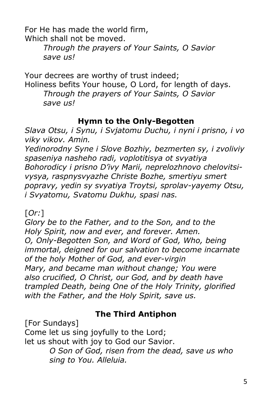For He has made the world firm, Which shall not be moved.

> *Through the prayers of Your Saints, O Savior save us!*

Your decrees are worthy of trust indeed; Holiness befits Your house, O Lord, for length of days. *Through the prayers of Your Saints, O Savior save us!*

### **Hymn to the Only-Begotten**

*Slava Otsu, i Synu, i Svjatomu Duchu, i nyni i prisno, i vo viky vikov. Amin.*

*Yedinorodny Syne i Slove Bozhiy, bezmerten sy, i zvoliviy spaseniya nasheho radi, voplotitisya ot svyatiya Bohorodicy i prisno D'ivy Marii, neprelozhnovo chelovitsivysya, raspnysvyazhe Christe Bozhe, smertiyu smert popravy, yedin sy svyatiya Troytsi, sprolav-yayemy Otsu, i Svyatomu, Svatomu Dukhu, spasi nas.*

[*Or:*]

*Glory be to the Father, and to the Son, and to the Holy Spirit, now and ever, and forever. Amen. O, Only-Begotten Son, and Word of God, Who, being immortal, deigned for our salvation to become incarnate of the holy Mother of God, and ever-virgin Mary, and became man without change; You were also crucified, O Christ, our God, and by death have trampled Death, being One of the Holy Trinity, glorified with the Father, and the Holy Spirit, save us.*

# **The Third Antiphon**

[For Sundays]

Come let us sing joyfully to the Lord; let us shout with joy to God our Savior. *O Son of God, risen from the dead, save us who sing to You. Alleluia.*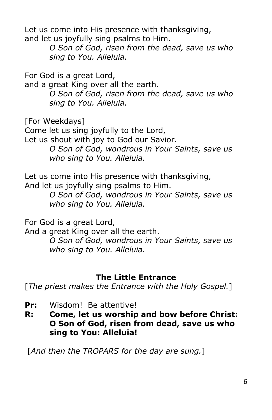Let us come into His presence with thanksgiving, and let us joyfully sing psalms to Him.

> *O Son of God, risen from the dead, save us who sing to You. Alleluia.*

For God is a great Lord,

and a great King over all the earth. *O Son of God, risen from the dead, save us who sing to You. Alleluia.*

[For Weekdays]

Come let us sing joyfully to the Lord, Let us shout with joy to God our Savior. *O Son of God, wondrous in Your Saints, save us who sing to You. Alleluia.*

Let us come into His presence with thanksgiving, And let us joyfully sing psalms to Him.

> *O Son of God, wondrous in Your Saints, save us who sing to You. Alleluia.*

For God is a great Lord,

And a great King over all the earth.

*O Son of God, wondrous in Your Saints, save us who sing to You. Alleluia.*

### **The Little Entrance**

[*The priest makes the Entrance with the Holy Gospel.*]

- **Pr:** Wisdom! Be attentive!
- **R: Come, let us worship and bow before Christ: O Son of God, risen from dead, save us who sing to You: Alleluia!**

[*And then the TROPARS for the day are sung.*]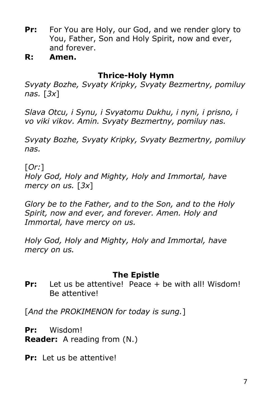- **Pr:** For You are Holy, our God, and we render glory to You, Father, Son and Holy Spirit, now and ever, and forever.
- **R: Amen.**

#### **Thrice-Holy Hymn**

*Svyaty Bozhe, Svyaty Kripky, Svyaty Bezmertny, pomiluy nas.* [*3x*]

*Slava Otcu, i Synu, i Svyatomu Dukhu, i nyni, i prisno, i vo viki vikov. Amin. Svyaty Bezmertny, pomiluy nas.*

*Svyaty Bozhe, Svyaty Kripky, Svyaty Bezmertny, pomiluy nas.*

[*Or:*]

*Holy God, Holy and Mighty, Holy and Immortal, have mercy on us.* [*3x*]

*Glory be to the Father, and to the Son, and to the Holy Spirit, now and ever, and forever. Amen. Holy and Immortal, have mercy on us.*

*Holy God, Holy and Mighty, Holy and Immortal, have mercy on us.*

### **The Epistle**

**Pr:** Let us be attentive! Peace + be with all! Wisdom! Be attentive!

[*And the PROKIMENON for today is sung.*]

**Pr:** Wisdom! **Reader:** A reading from (N.)

**Pr:** Let us be attentive!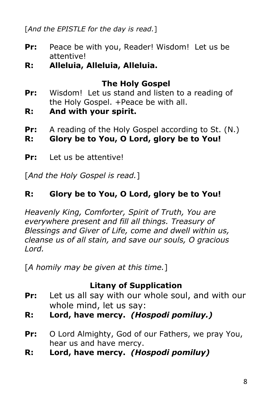[*And the EPISTLE for the day is read.*]

- **Pr:** Peace be with you, Reader! Wisdom! Let us be attentive!
- **R: Alleluia, Alleluia, Alleluia.**

# **The Holy Gospel**

- **Pr:** Wisdom! Let us stand and listen to a reading of the Holy Gospel. +Peace be with all.
- **R: And with your spirit.**
- **Pr:** A reading of the Holy Gospel according to St. (N.)
- **R: Glory be to You, O Lord, glory be to You!**
- **Pr:** Let us be attentive!

[*And the Holy Gospel is read.*]

# **R: Glory be to You, O Lord, glory be to You!**

*Heavenly King, Comforter, Spirit of Truth, You are everywhere present and fill all things. Treasury of Blessings and Giver of Life, come and dwell within us, cleanse us of all stain, and save our souls, O gracious Lord.*

[*A homily may be given at this time.*]

### **Litany of Supplication**

- **Pr:** Let us all say with our whole soul, and with our whole mind, let us say:
- **R: Lord, have mercy.** *(Hospodi pomiluy.)*
- **Pr:** O Lord Almighty, God of our Fathers, we pray You, hear us and have mercy.
- **R: Lord, have mercy.** *(Hospodi pomiluy)*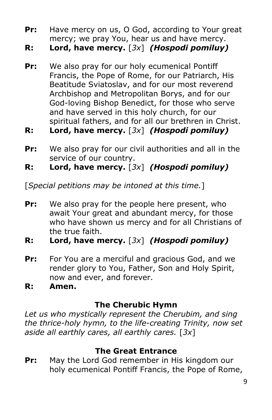- **Pr:** Have mercy on us, O God, according to Your great mercy; we pray You, hear us and have mercy.
- **R: Lord, have mercy.** [*3x*] *(Hospodi pomiluy)*
- **Pr:** We also pray for our holy ecumenical Pontiff Francis, the Pope of Rome, for our Patriarch, His Beatitude Sviatoslav, and for our most reverend Archbishop and Metropolitan Borys, and for our God-loving Bishop Benedict, for those who serve and have served in this holy church, for our spiritual fathers, and for all our brethren in Christ.
- **R: Lord, have mercy.** [*3x*] *(Hospodi pomiluy)*
- **Pr:** We also pray for our civil authorities and all in the service of our country.
- **R: Lord, have mercy.** [*3x*] *(Hospodi pomiluy)*

[*Special petitions may be intoned at this time.*]

- **Pr:** We also pray for the people here present, who await Your great and abundant mercy, for those who have shown us mercy and for all Christians of the true faith.
- **R: Lord, have mercy.** [*3x*] *(Hospodi pomiluy)*
- **Pr:** For You are a merciful and gracious God, and we render glory to You, Father, Son and Holy Spirit, now and ever, and forever.
- **R: Amen.**

#### **The Cherubic Hymn**

*Let us who mystically represent the Cherubim, and sing the thrice-holy hymn, to the life-creating Trinity, now set aside all earthly cares, all earthly cares.* [*3x*]

#### **The Great Entrance**

**Pr:** May the Lord God remember in His kingdom our holy ecumenical Pontiff Francis, the Pope of Rome,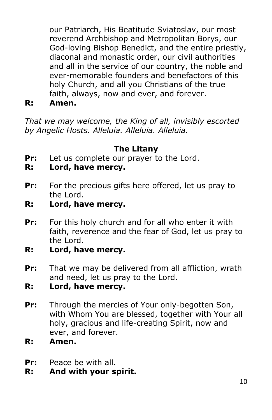our Patriarch, His Beatitude Sviatoslav, our most reverend Archbishop and Metropolitan Borys, our God-loving Bishop Benedict, and the entire priestly, diaconal and monastic order, our civil authorities and all in the service of our country, the noble and ever-memorable founders and benefactors of this holy Church, and all you Christians of the true faith, always, now and ever, and forever.

**R: Amen.** 

*That we may welcome, the King of all, invisibly escorted by Angelic Hosts. Alleluia. Alleluia. Alleluia.*

### **The Litany**

- **Pr:** Let us complete our prayer to the Lord.
- **R: Lord, have mercy.**
- **Pr:** For the precious gifts here offered, let us pray to the Lord.
- **R: Lord, have mercy.**
- **Pr:** For this holy church and for all who enter it with faith, reverence and the fear of God, let us pray to the Lord.
- **R: Lord, have mercy.**
- **Pr:** That we may be delivered from all affliction, wrath and need, let us pray to the Lord.
- **R: Lord, have mercy.**
- **Pr:** Through the mercies of Your only-begotten Son, with Whom You are blessed, together with Your all holy, gracious and life-creating Spirit, now and ever, and forever.
- **R: Amen.**
- **Pr:** Peace be with all.
- **R: And with your spirit.**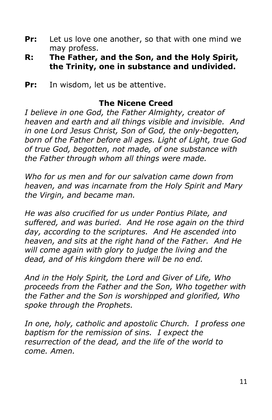- **Pr:** Let us love one another, so that with one mind we may profess.
- **R: The Father, and the Son, and the Holy Spirit, the Trinity, one in substance and undivided.**
- **Pr:** In wisdom, let us be attentive.

#### **The Nicene Creed**

*I believe in one God, the Father Almighty, creator of heaven and earth and all things visible and invisible. And in one Lord Jesus Christ, Son of God, the only-begotten, born of the Father before all ages. Light of Light, true God of true God, begotten, not made, of one substance with the Father through whom all things were made.* 

*Who for us men and for our salvation came down from heaven, and was incarnate from the Holy Spirit and Mary the Virgin, and became man.* 

*He was also crucified for us under Pontius Pilate, and suffered, and was buried. And He rose again on the third day, according to the scriptures. And He ascended into heaven, and sits at the right hand of the Father. And He will come again with glory to judge the living and the dead, and of His kingdom there will be no end.* 

*And in the Holy Spirit, the Lord and Giver of Life, Who proceeds from the Father and the Son, Who together with the Father and the Son is worshipped and glorified, Who spoke through the Prophets.* 

*In one, holy, catholic and apostolic Church. I profess one baptism for the remission of sins. I expect the resurrection of the dead, and the life of the world to come. Amen.*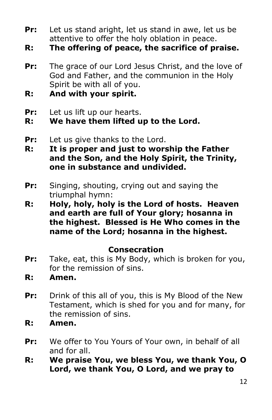- **Pr:** Let us stand aright, let us stand in awe, let us be attentive to offer the holy oblation in peace.
- **R: The offering of peace, the sacrifice of praise.**
- **Pr:** The grace of our Lord Jesus Christ, and the love of God and Father, and the communion in the Holy Spirit be with all of you.
- **R: And with your spirit.**
- **Pr:** Let us lift up our hearts.

**R: We have them lifted up to the Lord.**

- **Pr:** Let us give thanks to the Lord.
- **R: It is proper and just to worship the Father and the Son, and the Holy Spirit, the Trinity, one in substance and undivided.**
- **Pr:** Singing, shouting, crying out and saying the triumphal hymn:
- **R: Holy, holy, holy is the Lord of hosts. Heaven and earth are full of Your glory; hosanna in the highest. Blessed is He Who comes in the name of the Lord; hosanna in the highest.**

#### **Consecration**

- **Pr:** Take, eat, this is My Body, which is broken for you, for the remission of sins.
- **R: Amen.**
- **Pr:** Drink of this all of you, this is My Blood of the New Testament, which is shed for you and for many, for the remission of sins.
- **R: Amen.**
- **Pr:** We offer to You Yours of Your own, in behalf of all and for all.
- **R: We praise You, we bless You, we thank You, O Lord, we thank You, O Lord, and we pray to**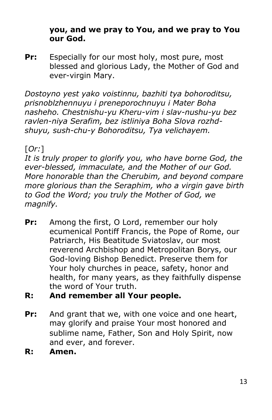#### **you, and we pray to You, and we pray to You our God.**

**Pr:** Especially for our most holy, most pure, most blessed and glorious Lady, the Mother of God and ever-virgin Mary.

*Dostoyno yest yako voistinnu, bazhiti tya bohoroditsu, prisnoblzhennuyu i preneporochnuyu i Mater Boha nasheho. Chestnishu-yu Kheru-vim i slav-nushu-yu bez ravlen-niya Serafim, bez istliniya Boha Slova rozhdshuyu, sush-chu-y Bohoroditsu, Tya velichayem.*

# [*Or:*]

*It is truly proper to glorify you, who have borne God, the ever-blessed, immaculate, and the Mother of our God. More honorable than the Cherubim, and beyond compare more glorious than the Seraphim, who a virgin gave birth to God the Word; you truly the Mother of God, we magnify.*

- **Pr:** Among the first, O Lord, remember our holy ecumenical Pontiff Francis, the Pope of Rome, our Patriarch, His Beatitude Sviatoslav, our most reverend Archbishop and Metropolitan Borys, our God-loving Bishop Benedict. Preserve them for Your holy churches in peace, safety, honor and health, for many years, as they faithfully dispense the word of Your truth.
- **R: And remember all Your people.**
- **Pr:** And grant that we, with one voice and one heart, may glorify and praise Your most honored and sublime name, Father, Son and Holy Spirit, now and ever, and forever.
- **R: Amen.**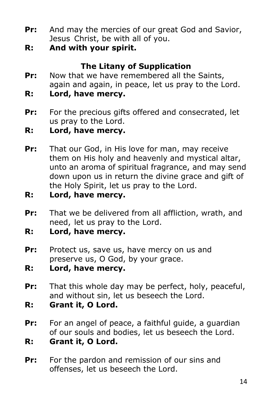- **Pr:** And may the mercies of our great God and Savior, Jesus Christ, be with all of you.
- **R: And with your spirit.**

# **The Litany of Supplication**

- **Pr:** Now that we have remembered all the Saints, again and again, in peace, let us pray to the Lord.
- **R: Lord, have mercy.**
- **Pr:** For the precious gifts offered and consecrated, let us pray to the Lord.
- **R: Lord, have mercy.**
- **Pr:** That our God, in His love for man, may receive them on His holy and heavenly and mystical altar, unto an aroma of spiritual fragrance, and may send down upon us in return the divine grace and gift of the Holy Spirit, let us pray to the Lord.
- **R: Lord, have mercy.**
- **Pr:** That we be delivered from all affliction, wrath, and need, let us pray to the Lord.
- **R: Lord, have mercy.**
- **Pr:** Protect us, save us, have mercy on us and preserve us, O God, by your grace.
- **R: Lord, have mercy.**
- **Pr:** That this whole day may be perfect, holy, peaceful, and without sin, let us beseech the Lord.
- **R: Grant it, O Lord.**
- **Pr:** For an angel of peace, a faithful guide, a guardian of our souls and bodies, let us beseech the Lord.
- **R: Grant it, O Lord.**
- **Pr:** For the pardon and remission of our sins and offenses, let us beseech the Lord.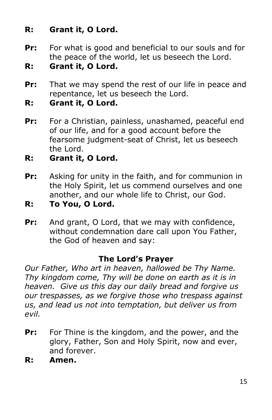# **R: Grant it, O Lord.**

- **Pr:** For what is good and beneficial to our souls and for the peace of the world, let us beseech the Lord.
- **R: Grant it, O Lord.**
- **Pr:** That we may spend the rest of our life in peace and repentance, let us beseech the Lord.
- **R: Grant it, O Lord.**
- Pr: For a Christian, painless, unashamed, peaceful end of our life, and for a good account before the fearsome judgment-seat of Christ, let us beseech the Lord.
- **R: Grant it, O Lord.**
- **Pr:** Asking for unity in the faith, and for communion in the Holy Spirit, let us commend ourselves and one another, and our whole life to Christ, our God.
- **R: To You, O Lord.**
- **Pr:** And grant, O Lord, that we may with confidence, without condemnation dare call upon You Father, the God of heaven and say:

#### **The Lord's Prayer**

*Our Father, Who art in heaven, hallowed be Thy Name. Thy kingdom come, Thy will be done on earth as it is in heaven. Give us this day our daily bread and forgive us our trespasses, as we forgive those who trespass against us, and lead us not into temptation, but deliver us from evil.*

- **Pr:** For Thine is the kingdom, and the power, and the glory, Father, Son and Holy Spirit, now and ever, and forever.
- **R: Amen.**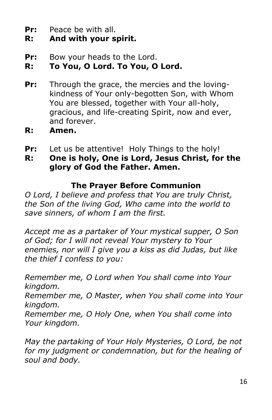**Pr:** Peace be with all.

# **R: And with your spirit.**

**Pr:** Bow your heads to the Lord.

# **R: To You, O Lord. To You, O Lord.**

- **Pr:** Through the grace, the mercies and the lovingkindness of Your only-begotten Son, with Whom You are blessed, together with Your all-holy, gracious, and life-creating Spirit, now and ever, and forever.
- **R: Amen.**
- **Pr:** Let us be attentive! Holy Things to the holy!
- **R: One is holy, One is Lord, Jesus Christ, for the glory of God the Father. Amen.**

### **The Prayer Before Communion**

*O Lord, I believe and profess that You are truly Christ, the Son of the living God, Who came into the world to save sinners, of whom I am the first.*

*Accept me as a partaker of Your mystical supper, O Son of God; for I will not reveal Your mystery to Your enemies, nor will I give you a kiss as did Judas, but like the thief I confess to you:*

*Remember me, O Lord when You shall come into Your kingdom.* 

*Remember me, O Master, when You shall come into Your kingdom.* 

*Remember me, O Holy One, when You shall come into Your kingdom.*

*May the partaking of Your Holy Mysteries, O Lord, be not for my judgment or condemnation, but for the healing of soul and body.*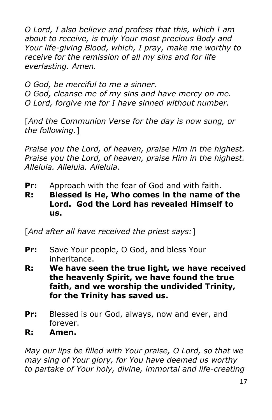*O Lord, I also believe and profess that this, which I am about to receive, is truly Your most precious Body and Your life-giving Blood, which, I pray, make me worthy to receive for the remission of all my sins and for life everlasting. Amen.*

*O God, be merciful to me a sinner.*

*O God, cleanse me of my sins and have mercy on me. O Lord, forgive me for I have sinned without number.*

[*And the Communion Verse for the day is now sung, or the following.*]

*Praise you the Lord, of heaven, praise Him in the highest. Praise you the Lord, of heaven, praise Him in the highest. Alleluia. Alleluia. Alleluia.*

- **Pr:** Approach with the fear of God and with faith.
- **R: Blessed is He, Who comes in the name of the Lord. God the Lord has revealed Himself to us.**

[*And after all have received the priest says:*]

- **Pr:** Save Your people, O God, and bless Your inheritance.
- **R: We have seen the true light, we have received the heavenly Spirit, we have found the true faith, and we worship the undivided Trinity, for the Trinity has saved us.**
- **Pr:** Blessed is our God, always, now and ever, and forever.
- **R: Amen.**

*May our lips be filled with Your praise, O Lord, so that we may sing of Your glory, for You have deemed us worthy to partake of Your holy, divine, immortal and life-creating*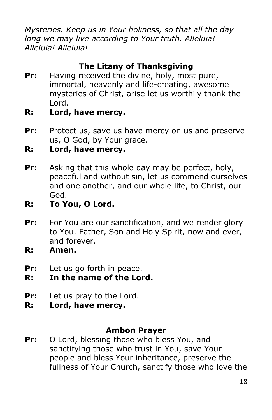*Mysteries. Keep us in Your holiness, so that all the day long we may live according to Your truth. Alleluia! Alleluia! Alleluia!* 

# **The Litany of Thanksgiving**

- **Pr:** Having received the divine, holy, most pure, immortal, heavenly and life-creating, awesome mysteries of Christ, arise let us worthily thank the Lord.
- **R: Lord, have mercy.**
- **Pr:** Protect us, save us have mercy on us and preserve us, O God, by Your grace.
- **R: Lord, have mercy.**
- **Pr:** Asking that this whole day may be perfect, holy, peaceful and without sin, let us commend ourselves and one another, and our whole life, to Christ, our God.
- **R: To You, O Lord.**
- **Pr:** For You are our sanctification, and we render glory to You. Father, Son and Holy Spirit, now and ever, and forever.
- **R: Amen.**
- **Pr:** Let us go forth in peace.
- **R: In the name of the Lord.**
- **Pr:** Let us pray to the Lord.
- **R: Lord, have mercy.**

#### **Ambon Prayer**

Pr: O Lord, blessing those who bless You, and sanctifying those who trust in You, save Your people and bless Your inheritance, preserve the fullness of Your Church, sanctify those who love the